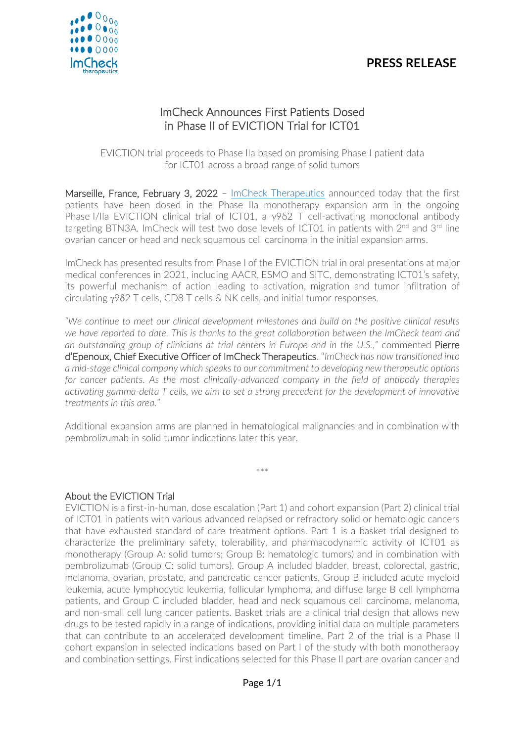# **PRESS RELEASE**



# ImCheck Announces First Patients Dosed in Phase II of EVICTION Trial for ICT01

EVICTION trial proceeds to Phase IIa based on promising Phase I patient data for ICT01 across a broad range of solid tumors

Marseille, France, February 3, 2022 - [ImCheck Therapeutics](https://www.imchecktherapeutics.com/) announced today that the first patients have been dosed in the Phase IIa monotherapy expansion arm in the ongoing Phase I/IIa EVICTION clinical trial of ICT01, a γ9δ2 T cell-activating monoclonal antibody targeting BTN3A. ImCheck will test two dose levels of ICT01 in patients with 2<sup>nd</sup> and 3<sup>rd</sup> line ovarian cancer or head and neck squamous cell carcinoma in the initial expansion arms.

ImCheck has presented results from Phase I of the EVICTION trial in oral presentations at major medical conferences in 2021, including AACR, ESMO and SITC, demonstrating ICT01's safety, its powerful mechanism of action leading to activation, migration and tumor infiltration of circulating  $y982$  T cells, CD8 T cells & NK cells, and initial tumor responses.

*"We continue to meet our clinical development milestones and build on the positive clinical results we have reported to date. This is thanks to the great collaboration between the ImCheck team and an outstanding group of clinicians at trial centers in Europe and in the U.S.,"* commented Pierre d'Epenoux, Chief Executive Officer of ImCheck Therapeutics. "*ImCheck has now transitioned into a mid-stage clinical company which speaks to our commitment to developing new therapeutic options for cancer patients. As the most clinically-advanced company in the field of antibody therapies activating gamma-delta T cells, we aim to set a strong precedent for the development of innovative treatments in this area."*

Additional expansion arms are planned in hematological malignancies and in combination with pembrolizumab in solid tumor indications later this year.

\*\*\*

### About the EVICTION Trial

EVICTION is a first-in-human, dose escalation (Part 1) and cohort expansion (Part 2) clinical trial of ICT01 in patients with various advanced relapsed or refractory solid or hematologic cancers that have exhausted standard of care treatment options. Part 1 is a basket trial designed to characterize the preliminary safety, tolerability, and pharmacodynamic activity of ICT01 as monotherapy (Group A: solid tumors; Group B: hematologic tumors) and in combination with pembrolizumab (Group C: solid tumors). Group A included bladder, breast, colorectal, gastric, melanoma, ovarian, prostate, and pancreatic cancer patients, Group B included acute myeloid leukemia, acute lymphocytic leukemia, follicular lymphoma, and diffuse large B cell lymphoma patients, and Group C included bladder, head and neck squamous cell carcinoma, melanoma, and non-small cell lung cancer patients. Basket trials are a clinical trial design that allows new drugs to be tested rapidly in a range of indications, providing initial data on multiple parameters that can contribute to an accelerated development timeline. Part 2 of the trial is a Phase II cohort expansion in selected indications based on Part I of the study with both monotherapy and combination settings. First indications selected for this Phase II part are ovarian cancer and